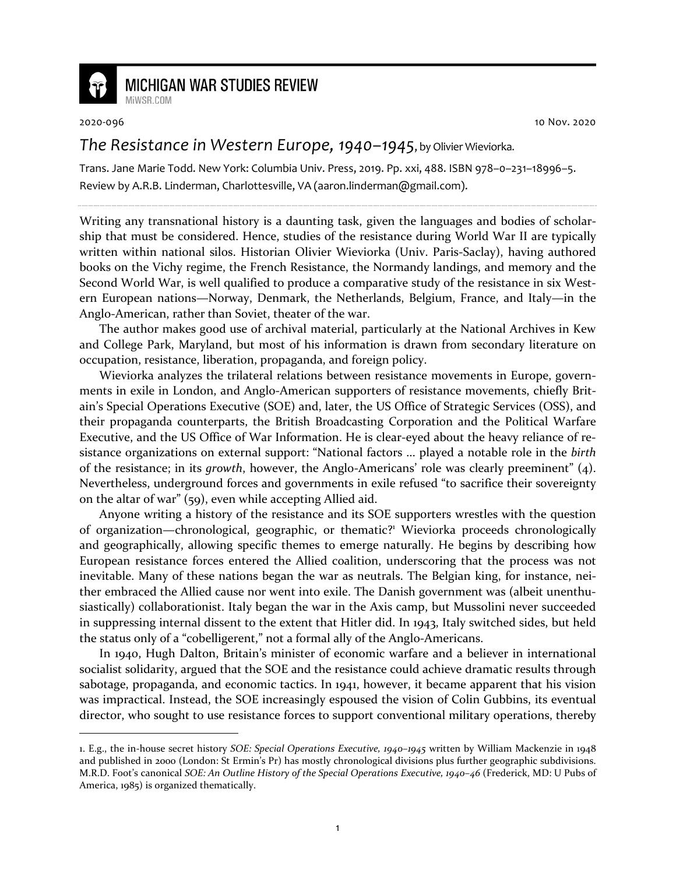

## **MICHIGAN WAR STUDIES REVIEW** MiWSR.COM

2020-096 10 Nov. 2020

## *The Resistance in Western Europe, 1940–1945*, by Olivier Wieviorka.

Trans. Jane Marie Todd. New York: Columbia Univ. Press, 2019. Pp. xxi, 488. ISBN 978–0–231–18996–5. Review by A.R.B. Linderman, Charlottesville, VA (aaron.linderman@gmail.com).

Writing any transnational history is a daunting task, given the languages and bodies of scholarship that must be considered. Hence, studies of the resistance during World War II are typically written within national silos. Historian Olivier Wieviorka (Univ. Paris-Saclay), having authored books on the Vichy regime, the French Resistance, the Normandy landings, and memory and the Second World War, is well qualified to produce a comparative study of the resistance in six Western European nations—Norway, Denmark, the Netherlands, Belgium, France, and Italy—in the Anglo-American, rather than Soviet, theater of the war.

The author makes good use of archival material, particularly at the National Archives in Kew and College Park, Maryland, but most of his information is drawn from secondary literature on occupation, resistance, liberation, propaganda, and foreign policy.

Wieviorka analyzes the trilateral relations between resistance movements in Europe, governments in exile in London, and Anglo-American supporters of resistance movements, chiefly Britain's Special Operations Executive (SOE) and, later, the US Office of Strategic Services (OSS), and their propaganda counterparts, the British Broadcasting Corporation and the Political Warfare Executive, and the US Office of War Information. He is clear-eyed about the heavy reliance of resistance organizations on external support: "National factors ... played a notable role in the *birth* of the resistance; in its *growth*, however, the Anglo-Americans' role was clearly preeminent" (4). Nevertheless, underground forces and governments in exile refused "to sacrifice their sovereignty on the altar of war" (59), even while accepting Allied aid.

Anyone writing a history of the resistance and its SOE supporters wrestles with the question of organization—chronological, geographic, or thematic?<sup>1</sup> Wieviorka proceeds chronologically and geographically, allowing specific themes to emerge naturally. He begins by describing how European resistance forces entered the Allied coalition, underscoring that the process was not inevitable. Many of these nations began the war as neutrals. The Belgian king, for instance, neither embraced the Allied cause nor went into exile. The Danish government was (albeit unenthusiastically) collaborationist. Italy began the war in the Axis camp, but Mussolini never succeeded in suppressing internal dissent to the extent that Hitler did. In 1943, Italy switched sides, but held the status only of a "cobelligerent," not a formal ally of the Anglo-Americans.

In 1940, Hugh Dalton, Britain's minister of economic warfare and a believer in international socialist solidarity, argued that the SOE and the resistance could achieve dramatic results through sabotage, propaganda, and economic tactics. In 1941, however, it became apparent that his vision was impractical. Instead, the SOE increasingly espoused the vision of Colin Gubbins, its eventual director, who sought to use resistance forces to support conventional military operations, thereby

<sup>1.</sup> E.g., the in-house secret history *SOE: Special Operations Executive, 1940–1945* written by William Mackenzie in 1948 and published in 2000 (London: St Ermin's Pr) has mostly chronological divisions plus further geographic subdivisions. M.R.D. Foot's canonical *SOE: An Outline History of the Special Operations Executive, 1940–46* (Frederick, MD: U Pubs of America, 1985) is organized thematically.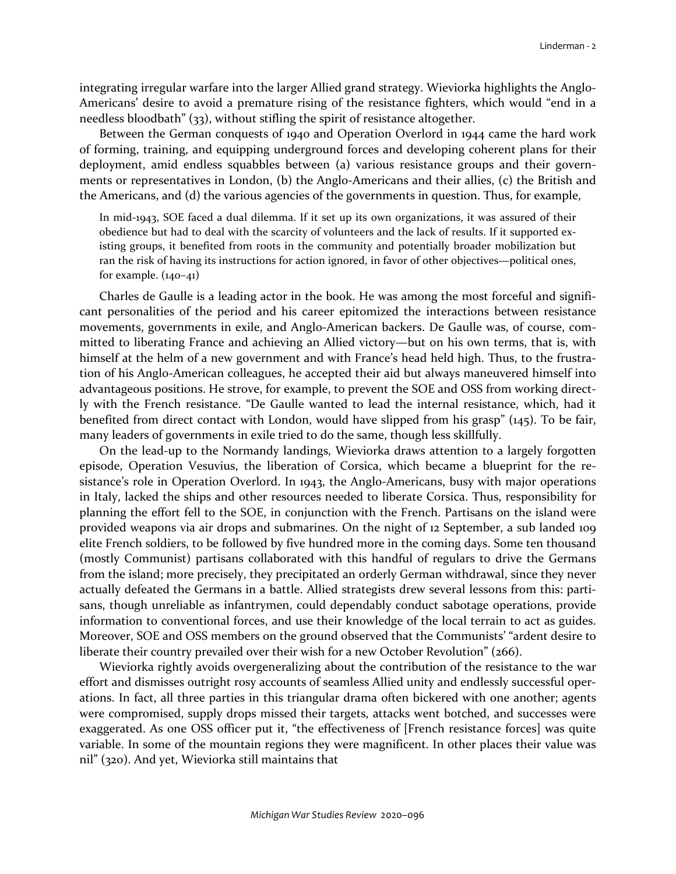integrating irregular warfare into the larger Allied grand strategy. Wieviorka highlights the Anglo-Americans' desire to avoid a premature rising of the resistance fighters, which would "end in a needless bloodbath" (33), without stifling the spirit of resistance altogether.

Between the German conquests of 1940 and Operation Overlord in 1944 came the hard work of forming, training, and equipping underground forces and developing coherent plans for their deployment, amid endless squabbles between (a) various resistance groups and their governments or representatives in London, (b) the Anglo-Americans and their allies, (c) the British and the Americans, and (d) the various agencies of the governments in question. Thus, for example,

In mid-1943, SOE faced a dual dilemma. If it set up its own organizations, it was assured of their obedience but had to deal with the scarcity of volunteers and the lack of results. If it supported existing groups, it benefited from roots in the community and potentially broader mobilization but ran the risk of having its instructions for action ignored, in favor of other objectives—political ones, for example.  $(140-41)$ 

Charles de Gaulle is a leading actor in the book. He was among the most forceful and significant personalities of the period and his career epitomized the interactions between resistance movements, governments in exile, and Anglo-American backers. De Gaulle was, of course, committed to liberating France and achieving an Allied victory—but on his own terms, that is, with himself at the helm of a new government and with France's head held high. Thus, to the frustration of his Anglo-American colleagues, he accepted their aid but always maneuvered himself into advantageous positions. He strove, for example, to prevent the SOE and OSS from working directly with the French resistance. "De Gaulle wanted to lead the internal resistance, which, had it benefited from direct contact with London, would have slipped from his grasp" (145). To be fair, many leaders of governments in exile tried to do the same, though less skillfully.

On the lead-up to the Normandy landings, Wieviorka draws attention to a largely forgotten episode, Operation Vesuvius, the liberation of Corsica, which became a blueprint for the resistance's role in Operation Overlord. In 1943, the Anglo-Americans, busy with major operations in Italy, lacked the ships and other resources needed to liberate Corsica. Thus, responsibility for planning the effort fell to the SOE, in conjunction with the French. Partisans on the island were provided weapons via air drops and submarines. On the night of 12 September, a sub landed 109 elite French soldiers, to be followed by five hundred more in the coming days. Some ten thousand (mostly Communist) partisans collaborated with this handful of regulars to drive the Germans from the island; more precisely, they precipitated an orderly German withdrawal, since they never actually defeated the Germans in a battle. Allied strategists drew several lessons from this: partisans, though unreliable as infantrymen, could dependably conduct sabotage operations, provide information to conventional forces, and use their knowledge of the local terrain to act as guides. Moreover, SOE and OSS members on the ground observed that the Communists' "ardent desire to liberate their country prevailed over their wish for a new October Revolution" (266).

Wieviorka rightly avoids overgeneralizing about the contribution of the resistance to the war effort and dismisses outright rosy accounts of seamless Allied unity and endlessly successful operations. In fact, all three parties in this triangular drama often bickered with one another; agents were compromised, supply drops missed their targets, attacks went botched, and successes were exaggerated. As one OSS officer put it, "the effectiveness of [French resistance forces] was quite variable. In some of the mountain regions they were magnificent. In other places their value was nil" (320). And yet, Wieviorka still maintains that